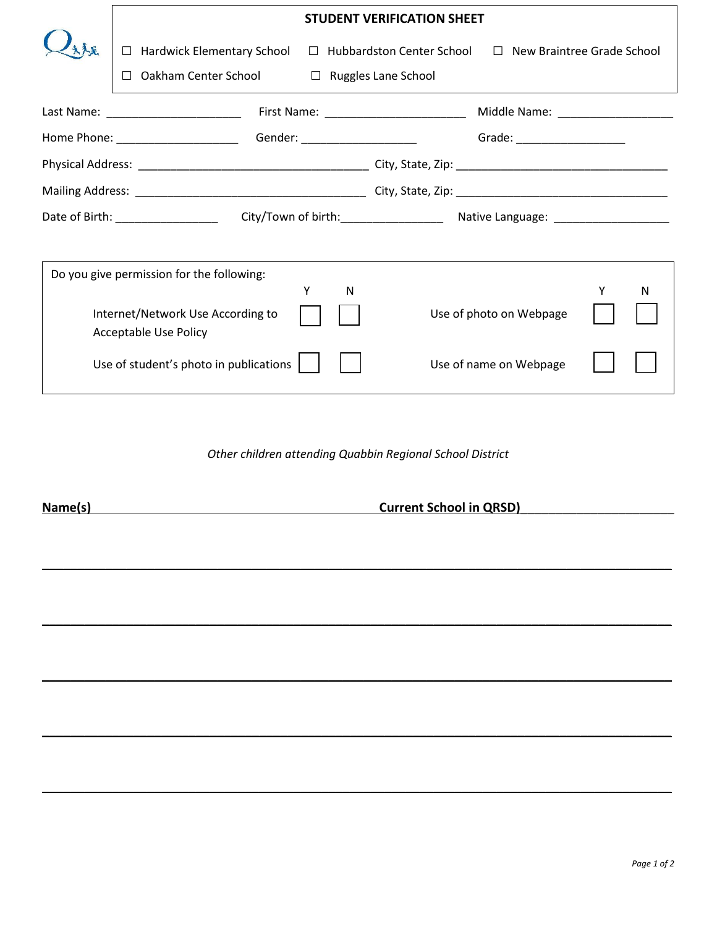|                                   | <b>STUDENT VERIFICATION SHEET</b>         |        |                                  |                                   |  |   |
|-----------------------------------|-------------------------------------------|--------|----------------------------------|-----------------------------------|--|---|
|                                   | <b>Hardwick Elementary School</b><br>П.   |        | $\Box$ Hubbardston Center School | $\Box$ New Braintree Grade School |  |   |
|                                   | Oakham Center School                      |        | $\Box$ Ruggles Lane School       |                                   |  |   |
|                                   | Last Name: ________________________       |        |                                  |                                   |  |   |
|                                   |                                           |        |                                  | Grade: _____________________      |  |   |
|                                   |                                           |        |                                  |                                   |  |   |
|                                   |                                           |        |                                  |                                   |  |   |
|                                   |                                           |        |                                  |                                   |  |   |
|                                   |                                           |        |                                  |                                   |  |   |
|                                   | Do you give permission for the following: |        |                                  |                                   |  |   |
|                                   |                                           | Y<br>N |                                  |                                   |  | N |
| Internet/Network Use According to |                                           |        |                                  | Use of photo on Webpage           |  |   |
|                                   | Acceptable Use Policy                     |        |                                  |                                   |  |   |
|                                   | Use of student's photo in publications    |        |                                  | Use of name on Webpage            |  |   |

*Other children attending Quabbin Regional School District*

\_\_\_\_\_\_\_\_\_\_\_\_\_\_\_\_\_\_\_\_\_\_\_\_\_\_\_\_\_\_\_\_\_\_\_\_\_\_\_\_\_\_\_\_\_\_\_\_\_\_\_\_\_\_\_\_\_\_\_\_\_\_\_\_\_\_\_\_\_\_\_\_\_\_\_\_\_\_\_\_\_\_\_\_\_\_\_\_\_\_

 $\mathcal{L} = \{ \mathcal{L} = \{ \mathcal{L} = \mathcal{L} \} \cup \{ \mathcal{L} = \{ \mathcal{L} = \mathcal{L} \} \cup \{ \mathcal{L} = \{ \mathcal{L} = \mathcal{L} \} \cup \{ \mathcal{L} = \{ \mathcal{L} = \mathcal{L} \} \cup \{ \mathcal{L} = \{ \mathcal{L} = \mathcal{L} \} \cup \{ \mathcal{L} = \{ \mathcal{L} = \mathcal{L} \} \cup \{ \mathcal{L} = \{ \mathcal{L} = \mathcal{L} \} \cup \{ \mathcal{L} = \{ \mathcal{L}$ 

 $\mathcal{L} = \{ \mathcal{L} = \{ \mathcal{L} = \mathcal{L} \} \cup \{ \mathcal{L} = \{ \mathcal{L} = \mathcal{L} \} \cup \{ \mathcal{L} = \{ \mathcal{L} = \mathcal{L} \} \cup \{ \mathcal{L} = \{ \mathcal{L} = \mathcal{L} \} \cup \{ \mathcal{L} = \{ \mathcal{L} = \mathcal{L} \} \cup \{ \mathcal{L} = \{ \mathcal{L} = \mathcal{L} \} \cup \{ \mathcal{L} = \{ \mathcal{L} = \mathcal{L} \} \cup \{ \mathcal{L} = \{ \mathcal{L}$ 

\_\_\_\_\_\_\_\_\_\_\_\_\_\_\_\_\_\_\_\_\_\_\_\_\_\_\_\_\_\_\_\_\_\_\_\_\_\_\_\_\_\_\_\_\_\_\_\_\_\_\_\_\_\_\_\_\_\_\_\_\_\_\_\_\_\_\_\_\_\_\_\_\_\_\_\_\_\_\_\_\_\_\_\_\_\_\_\_\_\_

\_\_\_\_\_\_\_\_\_\_\_\_\_\_\_\_\_\_\_\_\_\_\_\_\_\_\_\_\_\_\_\_\_\_\_\_\_\_\_\_\_\_\_\_\_\_\_\_\_\_\_\_\_\_\_\_\_\_\_\_\_\_\_\_\_\_\_\_\_\_\_\_\_\_\_\_\_\_\_\_\_\_\_\_\_\_\_\_\_\_

**Name(s)**<br> **Current School in QRSD)**